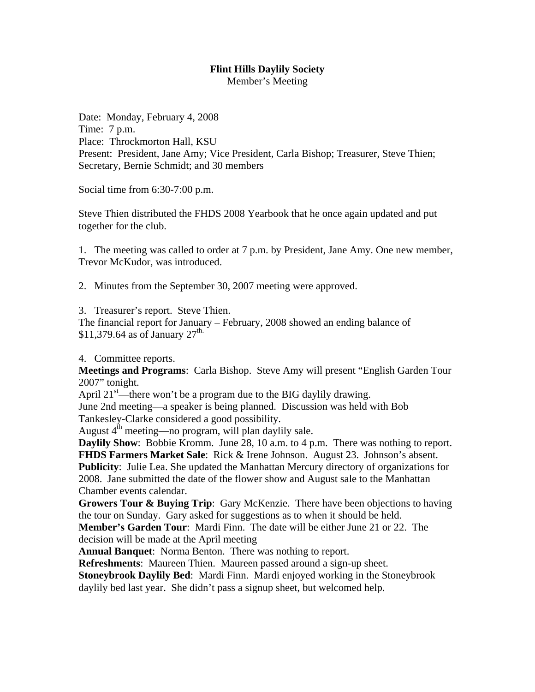Member's Meeting

Date: Monday, February 4, 2008 Time: 7 p.m. Place: Throckmorton Hall, KSU Present: President, Jane Amy; Vice President, Carla Bishop; Treasurer, Steve Thien; Secretary, Bernie Schmidt; and 30 members

Social time from 6:30-7:00 p.m.

Steve Thien distributed the FHDS 2008 Yearbook that he once again updated and put together for the club.

1. The meeting was called to order at 7 p.m. by President, Jane Amy. One new member, Trevor McKudor, was introduced.

2. Minutes from the September 30, 2007 meeting were approved.

3. Treasurer's report. Steve Thien.

The financial report for January – February, 2008 showed an ending balance of \$11,379.64 as of January  $27^{\text{th}}$ .

4. Committee reports.

**Meetings and Programs**: Carla Bishop. Steve Amy will present "English Garden Tour 2007" tonight.

April  $21<sup>st</sup>$ —there won't be a program due to the BIG daylily drawing.

June 2nd meeting—a speaker is being planned. Discussion was held with Bob Tankesley-Clarke considered a good possibility.

August  $4^{th}$  meeting—no program, will plan daylily sale.

**Daylily Show**: Bobbie Kromm. June 28, 10 a.m. to 4 p.m. There was nothing to report. **FHDS Farmers Market Sale**: Rick & Irene Johnson. August 23. Johnson's absent. **Publicity**: Julie Lea. She updated the Manhattan Mercury directory of organizations for 2008. Jane submitted the date of the flower show and August sale to the Manhattan Chamber events calendar.

**Growers Tour & Buying Trip**: Gary McKenzie. There have been objections to having the tour on Sunday. Gary asked for suggestions as to when it should be held.

**Member's Garden Tour**: Mardi Finn. The date will be either June 21 or 22. The decision will be made at the April meeting

**Annual Banquet**: Norma Benton. There was nothing to report.

**Refreshments**: Maureen Thien. Maureen passed around a sign-up sheet.

**Stoneybrook Daylily Bed**: Mardi Finn. Mardi enjoyed working in the Stoneybrook daylily bed last year. She didn't pass a signup sheet, but welcomed help.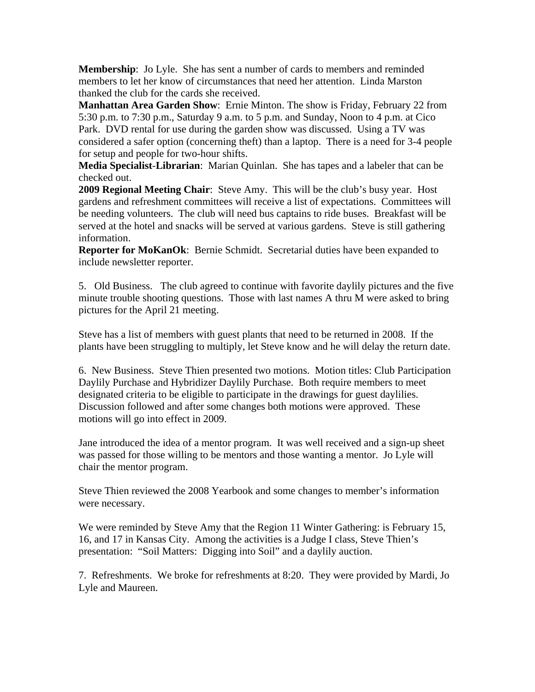**Membership**: Jo Lyle. She has sent a number of cards to members and reminded members to let her know of circumstances that need her attention. Linda Marston thanked the club for the cards she received.

**Manhattan Area Garden Show**: Ernie Minton. The show is Friday, February 22 from 5:30 p.m. to 7:30 p.m., Saturday 9 a.m. to 5 p.m. and Sunday, Noon to 4 p.m. at Cico Park. DVD rental for use during the garden show was discussed. Using a TV was considered a safer option (concerning theft) than a laptop. There is a need for 3-4 people for setup and people for two-hour shifts.

**Media Specialist**-**Librarian**: Marian Quinlan. She has tapes and a labeler that can be checked out.

**2009 Regional Meeting Chair**: Steve Amy. This will be the club's busy year. Host gardens and refreshment committees will receive a list of expectations. Committees will be needing volunteers. The club will need bus captains to ride buses. Breakfast will be served at the hotel and snacks will be served at various gardens. Steve is still gathering information.

**Reporter for MoKanOk**: Bernie Schmidt. Secretarial duties have been expanded to include newsletter reporter.

5. Old Business. The club agreed to continue with favorite daylily pictures and the five minute trouble shooting questions. Those with last names A thru M were asked to bring pictures for the April 21 meeting.

Steve has a list of members with guest plants that need to be returned in 2008. If the plants have been struggling to multiply, let Steve know and he will delay the return date.

6. New Business. Steve Thien presented two motions. Motion titles: Club Participation Daylily Purchase and Hybridizer Daylily Purchase. Both require members to meet designated criteria to be eligible to participate in the drawings for guest daylilies. Discussion followed and after some changes both motions were approved. These motions will go into effect in 2009.

Jane introduced the idea of a mentor program. It was well received and a sign-up sheet was passed for those willing to be mentors and those wanting a mentor. Jo Lyle will chair the mentor program.

Steve Thien reviewed the 2008 Yearbook and some changes to member's information were necessary.

We were reminded by Steve Amy that the Region 11 Winter Gathering: is February 15, 16, and 17 in Kansas City. Among the activities is a Judge I class, Steve Thien's presentation: "Soil Matters: Digging into Soil" and a daylily auction.

7. Refreshments. We broke for refreshments at 8:20. They were provided by Mardi, Jo Lyle and Maureen.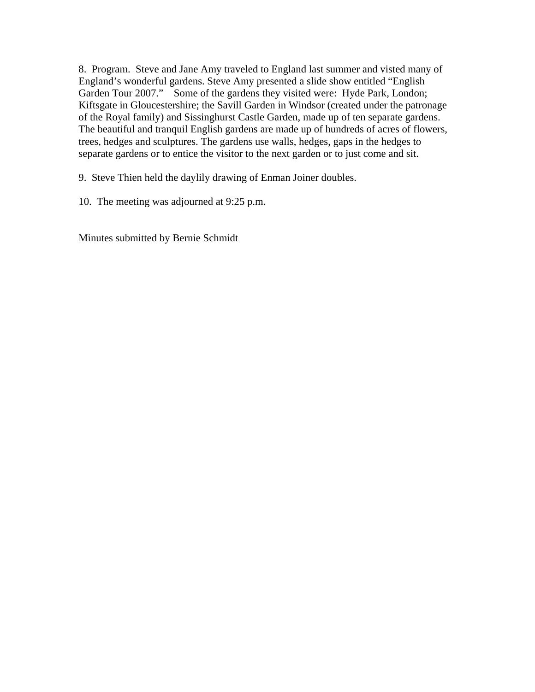8. Program. Steve and Jane Amy traveled to England last summer and visted many of England's wonderful gardens. Steve Amy presented a slide show entitled "English Garden Tour 2007." Some of the gardens they visited were: Hyde Park, London; Kiftsgate in Gloucestershire; the Savill Garden in Windsor (created under the patronage of the Royal family) and Sissinghurst Castle Garden, made up of ten separate gardens. The beautiful and tranquil English gardens are made up of hundreds of acres of flowers, trees, hedges and sculptures. The gardens use walls, hedges, gaps in the hedges to separate gardens or to entice the visitor to the next garden or to just come and sit.

9. Steve Thien held the daylily drawing of Enman Joiner doubles.

10. The meeting was adjourned at 9:25 p.m.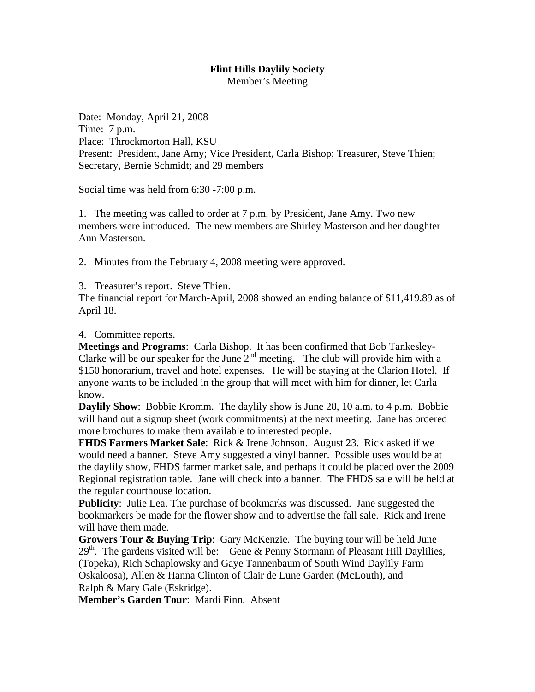Member's Meeting

Date: Monday, April 21, 2008 Time: 7 p.m. Place: Throckmorton Hall, KSU Present: President, Jane Amy; Vice President, Carla Bishop; Treasurer, Steve Thien; Secretary, Bernie Schmidt; and 29 members

Social time was held from 6:30 -7:00 p.m.

1. The meeting was called to order at 7 p.m. by President, Jane Amy. Two new members were introduced. The new members are Shirley Masterson and her daughter Ann Masterson.

2. Minutes from the February 4, 2008 meeting were approved.

3. Treasurer's report. Steve Thien.

The financial report for March-April, 2008 showed an ending balance of \$11,419.89 as of April 18.

4. Committee reports.

**Meetings and Programs**: Carla Bishop. It has been confirmed that Bob Tankesley-Clarke will be our speaker for the June  $2<sup>nd</sup>$  meeting. The club will provide him with a \$150 honorarium, travel and hotel expenses. He will be staying at the Clarion Hotel. If anyone wants to be included in the group that will meet with him for dinner, let Carla know.

**Daylily Show**: Bobbie Kromm. The daylily show is June 28, 10 a.m. to 4 p.m. Bobbie will hand out a signup sheet (work commitments) at the next meeting. Jane has ordered more brochures to make them available to interested people.

**FHDS Farmers Market Sale**: Rick & Irene Johnson. August 23. Rick asked if we would need a banner. Steve Amy suggested a vinyl banner. Possible uses would be at the daylily show, FHDS farmer market sale, and perhaps it could be placed over the 2009 Regional registration table. Jane will check into a banner. The FHDS sale will be held at the regular courthouse location.

**Publicity**: Julie Lea. The purchase of bookmarks was discussed. Jane suggested the bookmarkers be made for the flower show and to advertise the fall sale. Rick and Irene will have them made.

**Growers Tour & Buying Trip**: Gary McKenzie. The buying tour will be held June  $29<sup>th</sup>$ . The gardens visited will be: Gene & Penny Stormann of Pleasant Hill Daylilies, (Topeka), Rich Schaplowsky and Gaye Tannenbaum of South Wind Daylily Farm Oskaloosa), Allen & Hanna Clinton of Clair de Lune Garden (McLouth), and Ralph & Mary Gale (Eskridge).

**Member's Garden Tour**: Mardi Finn. Absent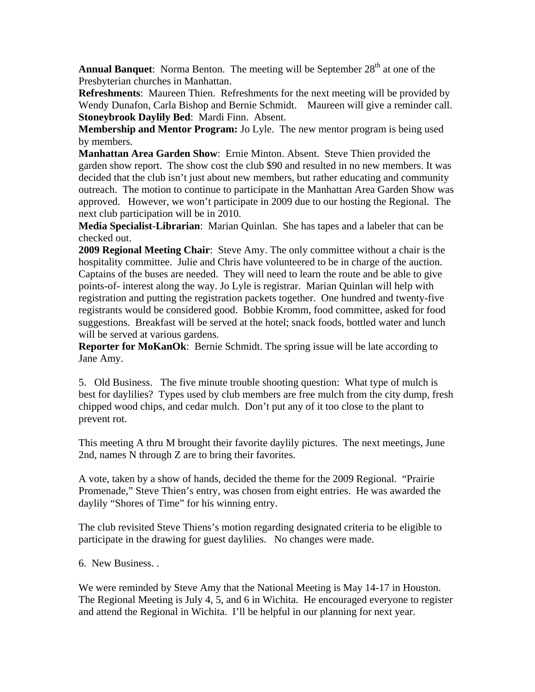**Annual Banquet**: Norma Benton. The meeting will be September 28<sup>th</sup> at one of the Presbyterian churches in Manhattan.

**Refreshments**: Maureen Thien. Refreshments for the next meeting will be provided by Wendy Dunafon, Carla Bishop and Bernie Schmidt. Maureen will give a reminder call. **Stoneybrook Daylily Bed**: Mardi Finn. Absent.

**Membership and Mentor Program:** Jo Lyle. The new mentor program is being used by members.

**Manhattan Area Garden Show**: Ernie Minton. Absent. Steve Thien provided the garden show report. The show cost the club \$90 and resulted in no new members. It was decided that the club isn't just about new members, but rather educating and community outreach. The motion to continue to participate in the Manhattan Area Garden Show was approved. However, we won't participate in 2009 due to our hosting the Regional. The next club participation will be in 2010.

**Media Specialist**-**Librarian**: Marian Quinlan. She has tapes and a labeler that can be checked out.

**2009 Regional Meeting Chair**: Steve Amy. The only committee without a chair is the hospitality committee. Julie and Chris have volunteered to be in charge of the auction. Captains of the buses are needed. They will need to learn the route and be able to give points-of- interest along the way. Jo Lyle is registrar. Marian Quinlan will help with registration and putting the registration packets together. One hundred and twenty-five registrants would be considered good. Bobbie Kromm, food committee, asked for food suggestions. Breakfast will be served at the hotel; snack foods, bottled water and lunch will be served at various gardens.

**Reporter for MoKanOk**: Bernie Schmidt. The spring issue will be late according to Jane Amy.

5. Old Business. The five minute trouble shooting question: What type of mulch is best for daylilies? Types used by club members are free mulch from the city dump, fresh chipped wood chips, and cedar mulch. Don't put any of it too close to the plant to prevent rot.

This meeting A thru M brought their favorite daylily pictures. The next meetings, June 2nd, names N through Z are to bring their favorites.

A vote, taken by a show of hands, decided the theme for the 2009 Regional. "Prairie Promenade," Steve Thien's entry, was chosen from eight entries. He was awarded the daylily "Shores of Time" for his winning entry.

The club revisited Steve Thiens's motion regarding designated criteria to be eligible to participate in the drawing for guest daylilies. No changes were made.

6. New Business. .

We were reminded by Steve Amy that the National Meeting is May 14-17 in Houston. The Regional Meeting is July 4, 5, and 6 in Wichita. He encouraged everyone to register and attend the Regional in Wichita. I'll be helpful in our planning for next year.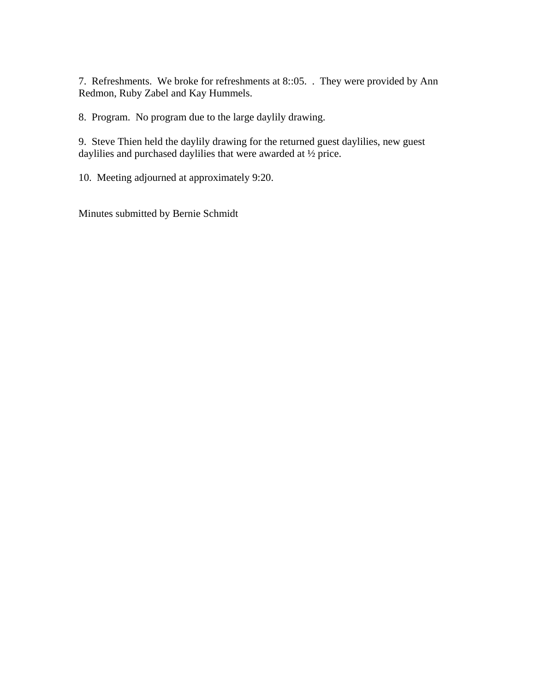7. Refreshments. We broke for refreshments at 8::05. . They were provided by Ann Redmon, Ruby Zabel and Kay Hummels.

8. Program. No program due to the large daylily drawing.

9. Steve Thien held the daylily drawing for the returned guest daylilies, new guest daylilies and purchased daylilies that were awarded at ½ price.

10. Meeting adjourned at approximately 9:20.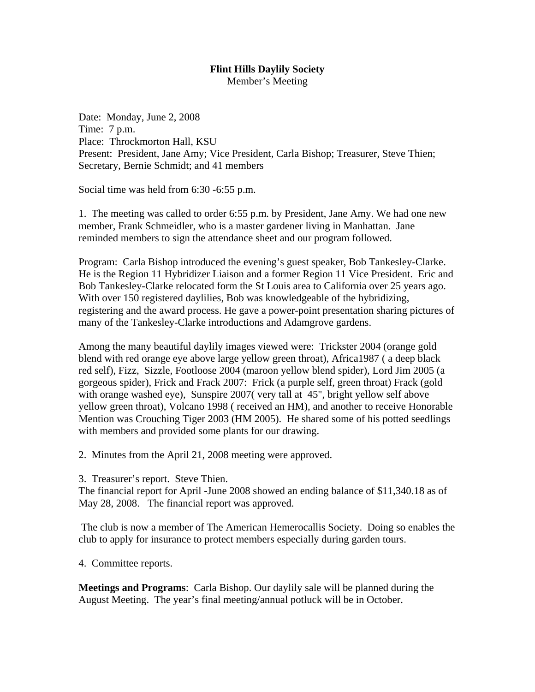Member's Meeting

Date: Monday, June 2, 2008 Time: 7 p.m. Place: Throckmorton Hall, KSU Present: President, Jane Amy; Vice President, Carla Bishop; Treasurer, Steve Thien; Secretary, Bernie Schmidt; and 41 members

Social time was held from 6:30 -6:55 p.m.

1. The meeting was called to order 6:55 p.m. by President, Jane Amy. We had one new member, Frank Schmeidler, who is a master gardener living in Manhattan. Jane reminded members to sign the attendance sheet and our program followed.

Program: Carla Bishop introduced the evening's guest speaker, Bob Tankesley-Clarke. He is the Region 11 Hybridizer Liaison and a former Region 11 Vice President. Eric and Bob Tankesley-Clarke relocated form the St Louis area to California over 25 years ago. With over 150 registered daylilies, Bob was knowledgeable of the hybridizing, registering and the award process. He gave a power-point presentation sharing pictures of many of the Tankesley-Clarke introductions and Adamgrove gardens.

Among the many beautiful daylily images viewed were: Trickster 2004 (orange gold blend with red orange eye above large yellow green throat), Africa1987 ( a deep black red self), Fizz, Sizzle, Footloose 2004 (maroon yellow blend spider), Lord Jim 2005 (a gorgeous spider), Frick and Frack 2007: Frick (a purple self, green throat) Frack (gold with orange washed eye), Sunspire 2007(very tall at 45", bright yellow self above yellow green throat), Volcano 1998 ( received an HM), and another to receive Honorable Mention was Crouching Tiger 2003 (HM 2005). He shared some of his potted seedlings with members and provided some plants for our drawing.

2. Minutes from the April 21, 2008 meeting were approved.

3. Treasurer's report. Steve Thien.

The financial report for April -June 2008 showed an ending balance of \$11,340.18 as of May 28, 2008. The financial report was approved.

 The club is now a member of The American Hemerocallis Society. Doing so enables the club to apply for insurance to protect members especially during garden tours.

4. Committee reports.

**Meetings and Programs**: Carla Bishop. Our daylily sale will be planned during the August Meeting. The year's final meeting/annual potluck will be in October.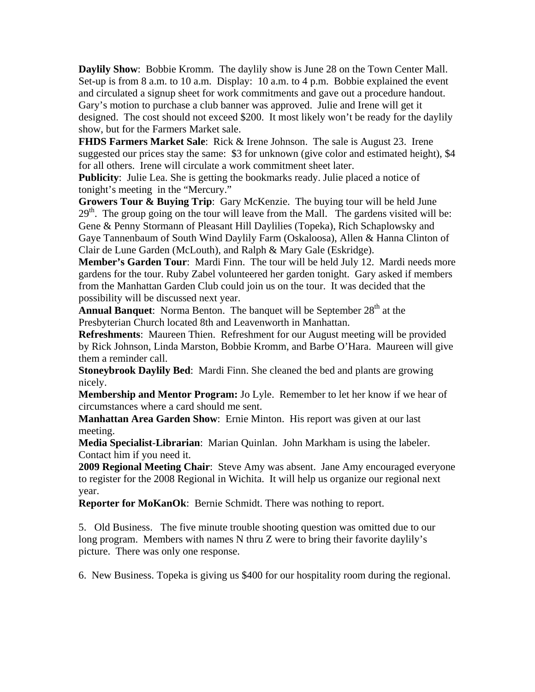**Daylily Show**: Bobbie Kromm. The daylily show is June 28 on the Town Center Mall. Set-up is from 8 a.m. to 10 a.m. Display: 10 a.m. to 4 p.m. Bobbie explained the event and circulated a signup sheet for work commitments and gave out a procedure handout. Gary's motion to purchase a club banner was approved. Julie and Irene will get it designed. The cost should not exceed \$200. It most likely won't be ready for the daylily show, but for the Farmers Market sale.

**FHDS Farmers Market Sale**: Rick & Irene Johnson. The sale is August 23. Irene suggested our prices stay the same: \$3 for unknown (give color and estimated height), \$4 for all others. Irene will circulate a work commitment sheet later.

**Publicity**: Julie Lea. She is getting the bookmarks ready. Julie placed a notice of tonight's meeting in the "Mercury."

**Growers Tour & Buying Trip**: Gary McKenzie. The buying tour will be held June  $29<sup>th</sup>$ . The group going on the tour will leave from the Mall. The gardens visited will be: Gene & Penny Stormann of Pleasant Hill Daylilies (Topeka), Rich Schaplowsky and Gaye Tannenbaum of South Wind Daylily Farm (Oskaloosa), Allen & Hanna Clinton of Clair de Lune Garden (McLouth), and Ralph & Mary Gale (Eskridge).

**Member's Garden Tour**: Mardi Finn. The tour will be held July 12. Mardi needs more gardens for the tour. Ruby Zabel volunteered her garden tonight. Gary asked if members from the Manhattan Garden Club could join us on the tour. It was decided that the possibility will be discussed next year.

**Annual Banquet:** Norma Benton. The banquet will be September 28<sup>th</sup> at the Presbyterian Church located 8th and Leavenworth in Manhattan.

**Refreshments**: Maureen Thien. Refreshment for our August meeting will be provided by Rick Johnson, Linda Marston, Bobbie Kromm, and Barbe O'Hara. Maureen will give them a reminder call.

**Stoneybrook Daylily Bed**: Mardi Finn. She cleaned the bed and plants are growing nicely.

**Membership and Mentor Program:** Jo Lyle. Remember to let her know if we hear of circumstances where a card should me sent.

**Manhattan Area Garden Show**: Ernie Minton. His report was given at our last meeting.

**Media Specialist**-**Librarian**: Marian Quinlan. John Markham is using the labeler. Contact him if you need it.

**2009 Regional Meeting Chair**: Steve Amy was absent. Jane Amy encouraged everyone to register for the 2008 Regional in Wichita. It will help us organize our regional next year.

**Reporter for MoKanOk**: Bernie Schmidt. There was nothing to report.

5. Old Business. The five minute trouble shooting question was omitted due to our long program. Members with names N thru Z were to bring their favorite daylily's picture. There was only one response.

6. New Business. Topeka is giving us \$400 for our hospitality room during the regional.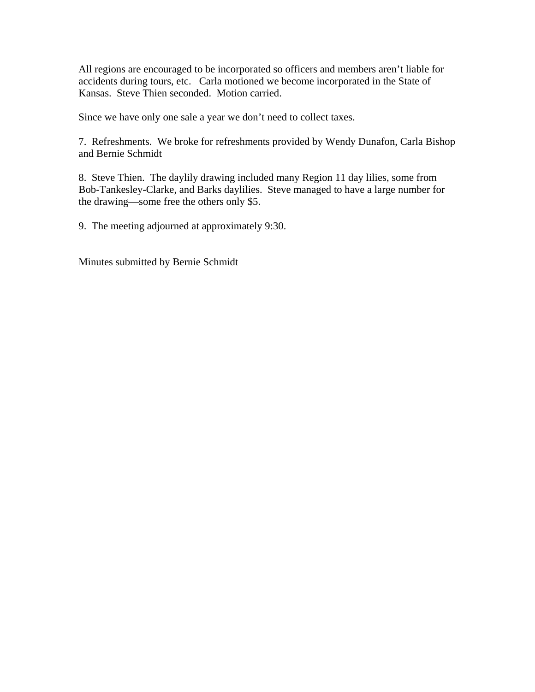All regions are encouraged to be incorporated so officers and members aren't liable for accidents during tours, etc. Carla motioned we become incorporated in the State of Kansas. Steve Thien seconded. Motion carried.

Since we have only one sale a year we don't need to collect taxes.

7. Refreshments. We broke for refreshments provided by Wendy Dunafon, Carla Bishop and Bernie Schmidt

8. Steve Thien. The daylily drawing included many Region 11 day lilies, some from Bob-Tankesley-Clarke, and Barks daylilies. Steve managed to have a large number for the drawing—some free the others only \$5.

9. The meeting adjourned at approximately 9:30.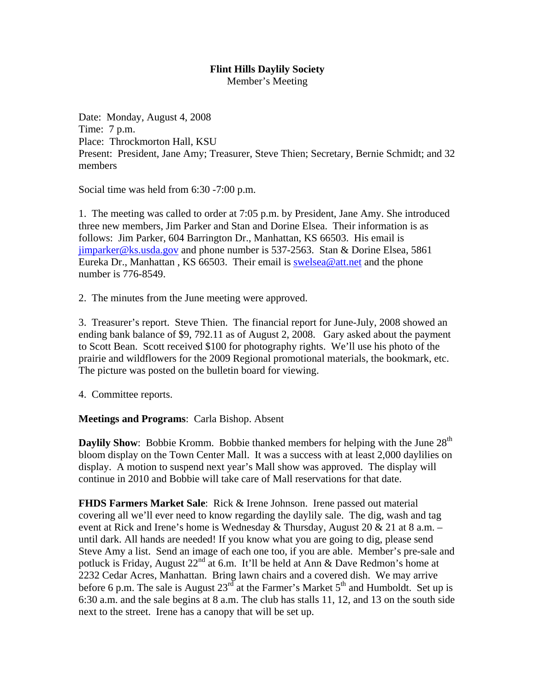Member's Meeting

Date: Monday, August 4, 2008 Time: 7 p.m. Place: Throckmorton Hall, KSU Present: President, Jane Amy; Treasurer, Steve Thien; Secretary, Bernie Schmidt; and 32 members

Social time was held from 6:30 -7:00 p.m.

1. The meeting was called to order at 7:05 p.m. by President, Jane Amy. She introduced three new members, Jim Parker and Stan and Dorine Elsea. Their information is as follows: Jim Parker, 604 Barrington Dr., Manhattan, KS 66503. His email is jimparker@ks.usda.gov and phone number is 537-2563. Stan & Dorine Elsea, 5861 Eureka Dr., Manhattan, KS 66503. Their email is swelsea@att.net and the phone number is 776-8549.

2. The minutes from the June meeting were approved.

3. Treasurer's report. Steve Thien. The financial report for June-July, 2008 showed an ending bank balance of \$9, 792.11 as of August 2, 2008. Gary asked about the payment to Scott Bean. Scott received \$100 for photography rights. We'll use his photo of the prairie and wildflowers for the 2009 Regional promotional materials, the bookmark, etc. The picture was posted on the bulletin board for viewing.

4. Committee reports.

#### **Meetings and Programs**: Carla Bishop. Absent

**Daylily Show**: Bobbie Kromm. Bobbie thanked members for helping with the June 28<sup>th</sup> bloom display on the Town Center Mall. It was a success with at least 2,000 daylilies on display. A motion to suspend next year's Mall show was approved. The display will continue in 2010 and Bobbie will take care of Mall reservations for that date.

**FHDS Farmers Market Sale**: Rick & Irene Johnson. Irene passed out material covering all we'll ever need to know regarding the daylily sale. The dig, wash and tag event at Rick and Irene's home is Wednesday & Thursday, August  $20 \& 21$  at 8 a.m. – until dark. All hands are needed! If you know what you are going to dig, please send Steve Amy a list. Send an image of each one too, if you are able. Member's pre-sale and potluck is Friday, August 22<sup>nd</sup> at 6.m. It'll be held at Ann & Dave Redmon's home at 2232 Cedar Acres, Manhattan. Bring lawn chairs and a covered dish. We may arrive before 6 p.m. The sale is August  $23<sup>rd</sup>$  at the Farmer's Market  $5<sup>th</sup>$  and Humboldt. Set up is 6:30 a.m. and the sale begins at 8 a.m. The club has stalls 11, 12, and 13 on the south side next to the street. Irene has a canopy that will be set up.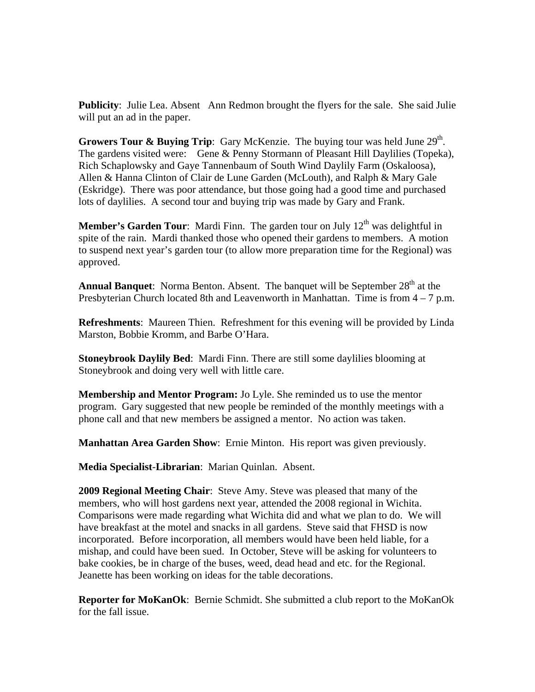**Publicity**: Julie Lea. Absent Ann Redmon brought the flyers for the sale. She said Julie will put an ad in the paper.

**Growers Tour & Buying Trip:** Gary McKenzie. The buying tour was held June 29<sup>th</sup>. The gardens visited were: Gene & Penny Stormann of Pleasant Hill Daylilies (Topeka), Rich Schaplowsky and Gaye Tannenbaum of South Wind Daylily Farm (Oskaloosa), Allen & Hanna Clinton of Clair de Lune Garden (McLouth), and Ralph & Mary Gale (Eskridge). There was poor attendance, but those going had a good time and purchased lots of daylilies. A second tour and buying trip was made by Gary and Frank.

**Member's Garden Tour:** Mardi Finn. The garden tour on July 12<sup>th</sup> was delightful in spite of the rain. Mardi thanked those who opened their gardens to members. A motion to suspend next year's garden tour (to allow more preparation time for the Regional) was approved.

**Annual Banquet:** Norma Benton. Absent. The banquet will be September 28<sup>th</sup> at the Presbyterian Church located 8th and Leavenworth in Manhattan. Time is from  $4 - 7$  p.m.

**Refreshments**: Maureen Thien. Refreshment for this evening will be provided by Linda Marston, Bobbie Kromm, and Barbe O'Hara.

**Stoneybrook Daylily Bed**: Mardi Finn. There are still some daylilies blooming at Stoneybrook and doing very well with little care.

**Membership and Mentor Program:** Jo Lyle. She reminded us to use the mentor program. Gary suggested that new people be reminded of the monthly meetings with a phone call and that new members be assigned a mentor. No action was taken.

**Manhattan Area Garden Show**: Ernie Minton. His report was given previously.

**Media Specialist**-**Librarian**: Marian Quinlan. Absent.

**2009 Regional Meeting Chair**: Steve Amy. Steve was pleased that many of the members, who will host gardens next year, attended the 2008 regional in Wichita. Comparisons were made regarding what Wichita did and what we plan to do. We will have breakfast at the motel and snacks in all gardens. Steve said that FHSD is now incorporated. Before incorporation, all members would have been held liable, for a mishap, and could have been sued. In October, Steve will be asking for volunteers to bake cookies, be in charge of the buses, weed, dead head and etc. for the Regional. Jeanette has been working on ideas for the table decorations.

**Reporter for MoKanOk**: Bernie Schmidt. She submitted a club report to the MoKanOk for the fall issue.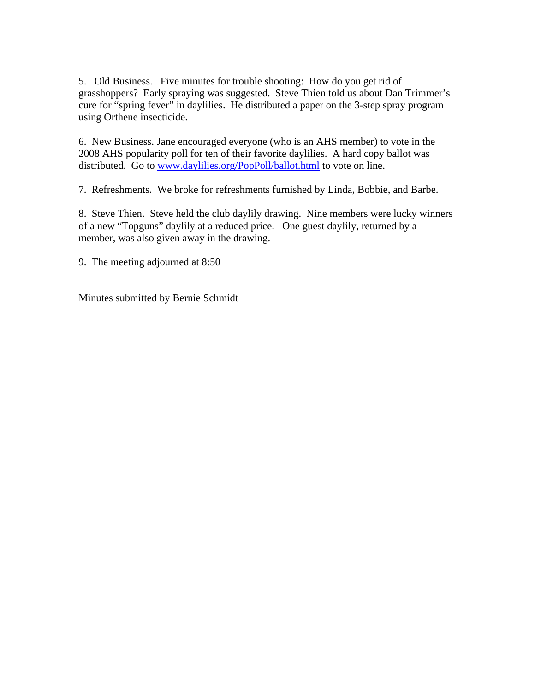5. Old Business. Five minutes for trouble shooting: How do you get rid of grasshoppers? Early spraying was suggested. Steve Thien told us about Dan Trimmer's cure for "spring fever" in daylilies. He distributed a paper on the 3-step spray program using Orthene insecticide.

6. New Business. Jane encouraged everyone (who is an AHS member) to vote in the 2008 AHS popularity poll for ten of their favorite daylilies. A hard copy ballot was distributed. Go to www.daylilies.org/PopPoll/ballot.html to vote on line.

7. Refreshments. We broke for refreshments furnished by Linda, Bobbie, and Barbe.

8. Steve Thien. Steve held the club daylily drawing. Nine members were lucky winners of a new "Topguns" daylily at a reduced price. One guest daylily, returned by a member, was also given away in the drawing.

9. The meeting adjourned at 8:50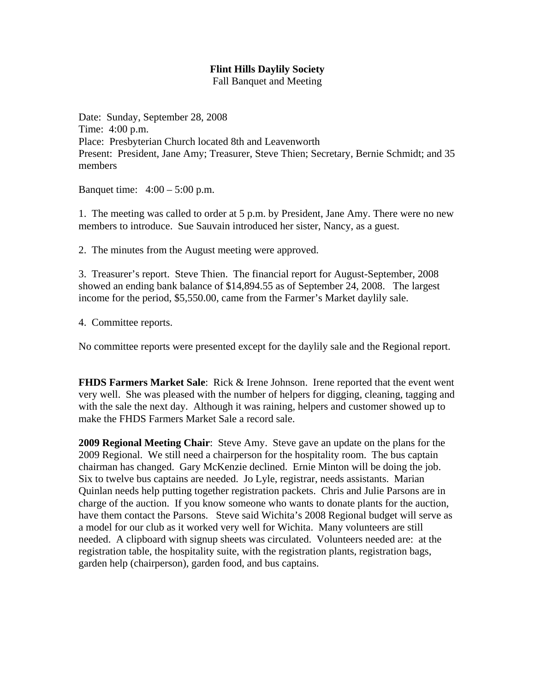Fall Banquet and Meeting

Date: Sunday, September 28, 2008 Time: 4:00 p.m. Place: Presbyterian Church located 8th and Leavenworth Present: President, Jane Amy; Treasurer, Steve Thien; Secretary, Bernie Schmidt; and 35 members

Banquet time: 4:00 – 5:00 p.m.

1. The meeting was called to order at 5 p.m. by President, Jane Amy. There were no new members to introduce. Sue Sauvain introduced her sister, Nancy, as a guest.

2. The minutes from the August meeting were approved.

3. Treasurer's report. Steve Thien. The financial report for August-September, 2008 showed an ending bank balance of \$14,894.55 as of September 24, 2008. The largest income for the period, \$5,550.00, came from the Farmer's Market daylily sale.

4. Committee reports.

No committee reports were presented except for the daylily sale and the Regional report.

**FHDS Farmers Market Sale**: Rick & Irene Johnson. Irene reported that the event went very well. She was pleased with the number of helpers for digging, cleaning, tagging and with the sale the next day. Although it was raining, helpers and customer showed up to make the FHDS Farmers Market Sale a record sale.

**2009 Regional Meeting Chair**: Steve Amy. Steve gave an update on the plans for the 2009 Regional. We still need a chairperson for the hospitality room. The bus captain chairman has changed. Gary McKenzie declined. Ernie Minton will be doing the job. Six to twelve bus captains are needed. Jo Lyle, registrar, needs assistants. Marian Quinlan needs help putting together registration packets. Chris and Julie Parsons are in charge of the auction. If you know someone who wants to donate plants for the auction, have them contact the Parsons. Steve said Wichita's 2008 Regional budget will serve as a model for our club as it worked very well for Wichita. Many volunteers are still needed. A clipboard with signup sheets was circulated. Volunteers needed are: at the registration table, the hospitality suite, with the registration plants, registration bags, garden help (chairperson), garden food, and bus captains.